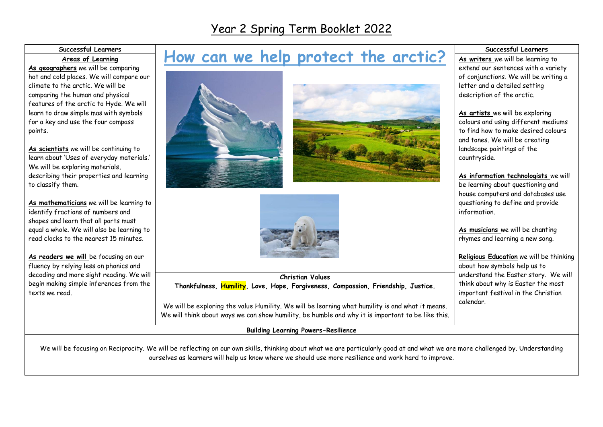## Year 2 Spring Term Booklet 2022

| Successful Learners |  |
|---------------------|--|
| Areas of Learning   |  |

**As geographers** we will be comparing hot and cold places. We will compare our climate to the arctic. We will be comparing the human and physical features of the arctic to Hyde. We will learn to draw simple mas with symbols for a key and use the four compass points.

**As scientists** we will be continuing to learn about 'Uses of everyday materials.' We will be exploring materials, describing their properties and learning to classify them.

**As mathematicians** we will be learning to identify fractions of numbers and shapes and learn that all parts must equal a whole. We will also be learning to read clocks to the nearest 15 minutes.

**As readers we will** be focusing on our fluency by relying less on phonics and decoding and more sight reading. We will begin making simple inferences from the texts we read.

## How can we help protect the arctic?







**Christian Values Thankfulness, Humility, Love, Hope, Forgiveness, Compassion, Friendship, Justice.**

We will be exploring the value Humility. We will be learning what humility is and what it means. We will think about ways we can show humility, be humble and why it is important to be like this.

**Building Learning Powers-Resilience**

## **Successful Learners**

**As writers** we will be learning to extend our sentences with a variety of conjunctions. We will be writing a letter and a detailed setting description of the arctic.

**As artists** we will be exploring colours and using different mediums to find how to make desired colours and tones. We will be creating landscape paintings of the countryside.

**As information technologists** we will be learning about questioning and house computers and databases use questioning to define and provide information.

**As musicians** we will be chanting rhymes and learning a new song.

**Religious Education** we will be thinking about how symbols help us to understand the Easter story. We will think about why is Easter the most important festival in the Christian calendar.

We will be focusing on Reciprocity. We will be reflecting on our own skills, thinking about what we are particularly good at and what we are more challenged by. Understanding ourselves as learners will help us know where we should use more resilience and work hard to improve.